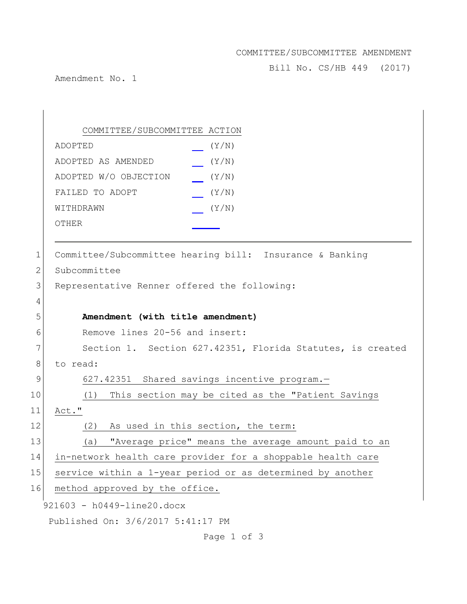## COMMITTEE/SUBCOMMITTEE AMENDMENT

Bill No. CS/HB 449 (2017)

Amendment No. 1

921603 - h0449-line20.docx Published On: 3/6/2017 5:41:17 PM COMMITTEE/SUBCOMMITTEE ACTION ADOPTED (Y/N) ADOPTED AS AMENDED (Y/N) ADOPTED W/O OBJECTION (Y/N) FAILED TO ADOPT  $(Y/N)$ WITHDRAWN  $(Y/N)$ OTHER 1 Committee/Subcommittee hearing bill: Insurance & Banking 2 Subcommittee 3 Representative Renner offered the following: 4 5 **Amendment (with title amendment)** 6 Remove lines 20-56 and insert: 7 Section 1. Section 627.42351, Florida Statutes, is created 8 to read: 9 627.42351 Shared savings incentive program.— 10 (1) This section may be cited as the "Patient Savings 11 Act." 12 (2) As used in this section, the term: 13 (a) "Average price" means the average amount paid to an 14 in-network health care provider for a shoppable health care 15 service within a 1-year period or as determined by another 16 method approved by the office.

Page 1 of 3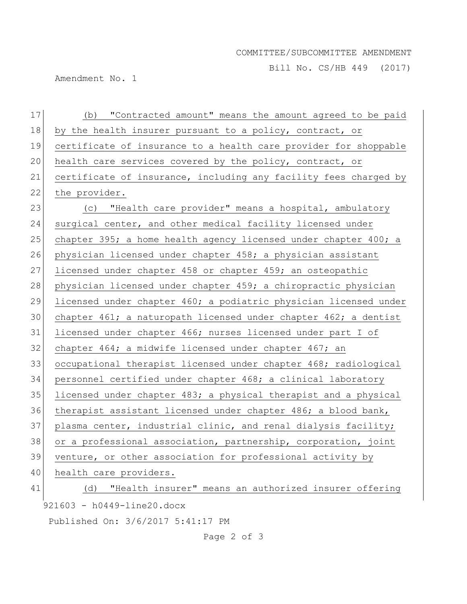## COMMITTEE/SUBCOMMITTEE AMENDMENT

Bill No. CS/HB 449 (2017)

Amendment No. 1

| 17 | (b) "Contracted amount" means the amount agreed to be paid       |
|----|------------------------------------------------------------------|
| 18 | by the health insurer pursuant to a policy, contract, or         |
| 19 | certificate of insurance to a health care provider for shoppable |
| 20 | health care services covered by the policy, contract, or         |
| 21 | certificate of insurance, including any facility fees charged by |
| 22 | the provider.                                                    |
| 23 | (c) "Health care provider" means a hospital, ambulatory          |
| 24 | surgical center, and other medical facility licensed under       |
| 25 | chapter 395; a home health agency licensed under chapter 400; a  |
| 26 | physician licensed under chapter 458; a physician assistant      |
| 27 | licensed under chapter 458 or chapter 459; an osteopathic        |
| 28 | physician licensed under chapter 459; a chiropractic physician   |
| 29 | licensed under chapter 460; a podiatric physician licensed under |
| 30 | chapter 461; a naturopath licensed under chapter 462; a dentist  |
| 31 | licensed under chapter 466; nurses licensed under part I of      |
| 32 | chapter 464; a midwife licensed under chapter 467; an            |
| 33 | occupational therapist licensed under chapter 468; radiological  |
| 34 | personnel certified under chapter 468; a clinical laboratory     |
| 35 | licensed under chapter 483; a physical therapist and a physical  |
| 36 | therapist assistant licensed under chapter 486; a blood bank,    |
| 37 | plasma center, industrial clinic, and renal dialysis facility;   |
| 38 | or a professional association, partnership, corporation, joint   |
| 39 | venture, or other association for professional activity by       |
| 40 | health care providers.                                           |
| 41 | "Health insurer" means an authorized insurer offering<br>(d)     |
|    | 921603 - h0449-line20.docx                                       |

Published On: 3/6/2017 5:41:17 PM

Page 2 of 3